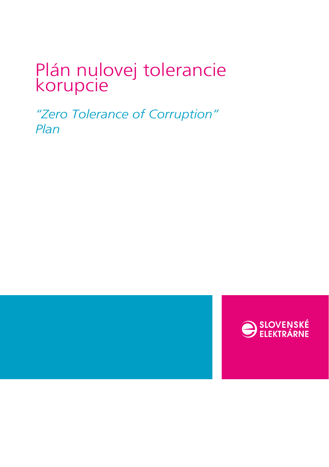# Plán nulovej tolerancie korupcie

*"Zero Tolerance of Corruption" Plan*



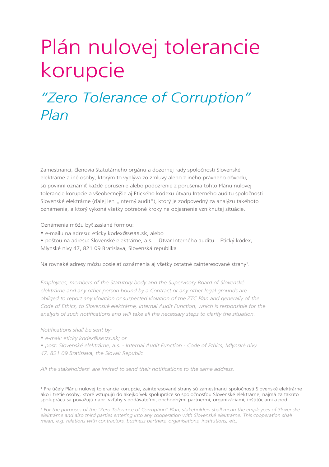# Plán nulovej tolerancie korupcie

## *"Zero Tolerance of Corruption" Plan*

Zamestnanci, členovia štatutárneho orgánu a dozornej rady spoločnosti Slovenské elektrárne a iné osoby, ktorým to vyplýva zo zmluvy alebo z iného právneho dôvodu, sú povinní oznámiť každé porušenie alebo podozrenie z porušenia tohto Plánu nulovej tolerancie korupcie a všeobecnejšie aj Etického kódexu útvaru Interného auditu spoločnosti Slovenské elektrárne (ďalej len "Interný audit"), ktorý je zodpovedný za analýzu takéhoto oznámenia, a ktorý vykoná všetky potrebné kroky na objasnenie vzniknutej situácie.

Oznámenia môžu byť zaslané formou:

- e-mailu na adresu: eticky.kodex@seas.sk, alebo
- poštou na adresu: Slovenské elektrárne, a.s. Útvar Interného auditu Etický kódex,
- Mlynské nivy 47, 821 09 Bratislava, Slovenská republika

Na rovnaké adresy môžu posielať oznámenia aj všetky ostatné zainteresované strany<sup>1</sup>.

*Employees, members of the Statutory body and the Supervisory Board of Slovenské elektrárne and any other person bound by a Contract or any other legal grounds are obliged to report any violation or suspected violation of the ZTC Plan and generally of the Code of Ethics, to Slovenské elektrárne, Internal Audit Function, which is responsible for the*  analysis of such notifications and will take all the necessary steps to clarify the situation.

*Notifi cations shall be sent by:*

- *• e-mail: eticky.kodex@seas.sk; or*
- *post: Slovenské elektrárne, a.s. Internal Audit Function Code of Ethics, Mlynské nivy*
- *47, 821 09 Bratislava, the Slovak Republic*

All the stakeholders<sup>1</sup> are invited to send their notifications to the same address.

1 Pre účely Plánu nulovej tolerancie korupcie, zainteresované strany sú zamestnanci spoločnosti Slovenské elektrárne ako i tretie osoby, ktoré vstupujú do akejkoľvek spolupráce so spoločnosťou Slovenské elektrárne, najmä za takúto spoluprácu sa považujú napr. vzťahy s dodávateľmi, obchodnými partnermi, organizáciami, inštitúciami a pod.

<sup>1</sup> For the purposes of the "Zero Tolerance of Corruption" Plan, stakeholders shall mean the employees of Slovenské elektrárne and also third parties entering into any cooperation with Slovenské elektrárne. This cooperation shall *mean, e.g. relations with contractors, business partners, organisations, institutions, etc.*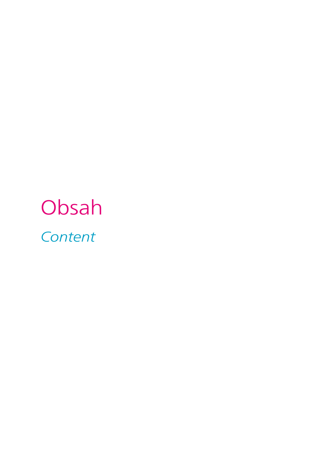# Obsah *Content*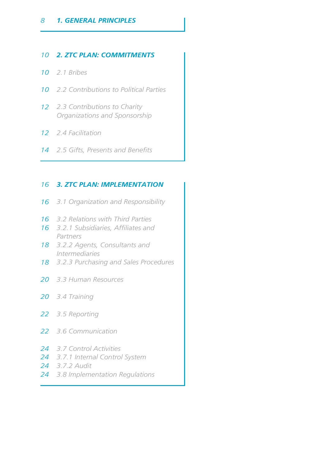#### *2. ZTC PLAN: COMMITMENTS*

- *2.1 Bribes*
- *2.2 Contributions to Political Parties*
- *2.3 Contributions to Charity Organizations and Sponsorship*
- *2.4 Facilitation*
- 14 2.5 Gifts, Presents and Benefits

#### *3. ZTC PLAN: IMPLEMENTATION*

- *3.1 Organization and Responsibility*
- *3.2 Relations with Third Parties*
- 16 3.2.1 Subsidiaries, Affiliates and *Partners*
- *3.2.2 Agents, Consultants and Intermediaries*
- *3.2.3 Purchasing and Sales Procedures*
- *3.3 Human Resources*
- *3.4 Training*
- *3.5 Reporting*
- *3.6 Communication*
- *3.7 Control Activities*
- *3.7.1 Internal Control System*
- *3.7.2 Audit*
- *3.8 Implementation Regulations*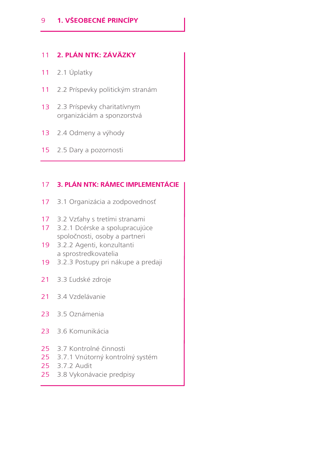#### **2. PLÁN NTK: ZÁVÄZKY** 11

- 2.1 Úplatky 11
- 2.2 Príspevky politickým stranám 11
- 2.3 Príspevky charitatívnym organizáciám a sponzorstvá 13
- 2.4 Odmeny a výhody 13
- 15 2.5 Dary a pozornosti

#### **3. PLÁN NTK: RÁMEC IMPLEMENTÁCIE** 17

- 3.1 Organizácia a zodpovednosť 17
- 3.2 Vzťahy s tretími stranami 17
- 17 3.2.1 Dcérske a spolupracujúce spoločnosti, osoby a partneri
- 3.2.2 Agenti, konzultanti 19 a sprostredkovatelia
- 3.2.3 Postupy pri nákupe a predaji 19
- 3.3 Ľudské zdroje 21
- 3.4 Vzdelávanie 21
- 23 3.5 Oznámenia
- 3.6 Komunikácia 23
- 25 3.7 Kontrolné činnosti
- 25 3.7.1 Vnútorný kontrolný systém
- 25 3.7.2 Audit
- 25 3.8 Vykonávacie predpisy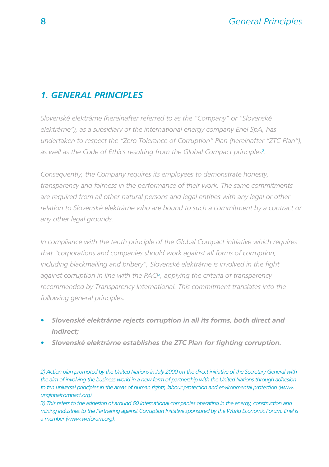#### *1. GENERAL PRINCIPLES*

*Slovenské elektrárne (hereinafter referred to as the "Company" or "Slovenské elektrárne"), as a subsidiary of the international energy company Enel SpA, has undertaken to respect the "Zero Tolerance of Corruption" Plan (hereinafter "ZTC Plan"), as well as the Code of Ethics resulting from the Global Compact principles2 .*

*Consequently, the Company requires its employees to demonstrate honesty, transparency and fairness in the performance of their work. The same commitments are required from all other natural persons and legal entities with any legal or other relation to Slovenské elektrárne who are bound to such a commitment by a contract or any other legal grounds.* 

*In compliance with the tenth principle of the Global Compact initiative which requires that "corporations and companies should work against all forms of corruption,*  including blackmailing and bribery", Slovenské elektrárne is involved in the fight *against corruption in line with the PACI3 , applying the criteria of transparency*  recommended by Transparency International. This commitment translates into the *following general principles:*

- **•** *Slovenské elektrárne rejects corruption in all its forms, both direct and indirect;*
- **•** *Slovenské elektrárne establishes the ZTC Plan for fi ghting corruption.*

*2) Action plan promoted by the United Nations in July 2000 on the direct initiative of the Secretary General with the aim of involving the business world in a new form of partnership with the United Nations through adhesion to ten universal principles in the areas of human rights, labour protection and environmental protection (www. unglobalcompact.org).*

*3) This refers to the adhesion of around 60 international companies operating in the energy, construction and mining industries to the Partnering against Corruption Initiative sponsored by the World Economic Forum. Enel is a member (www.weforum.org).*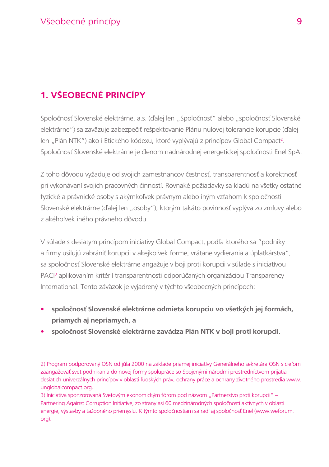## **1. VŠEOBECNÉ PRINCÍPY**

Spoločnosť Slovenské elektrárne, a.s. (ďalej len "Spoločnosť" alebo "spoločnosť Slovenské elektrárne") sa zaväzuje zabezpečiť rešpektovanie Plánu nulovej tolerancie korupcie (ďalej len "Plán NTK") ako i Etického kódexu, ktoré vyplývajú z princípov Global Compact<sup>2</sup>. Spoločnosť Slovenské elektrárne je členom nadnárodnej energetickej spoločnosti Enel SpA.

Z toho dôvodu vyžaduje od svojich zamestnancov čestnosť, transparentnosť a korektnosť pri vykonávaní svojich pracovných činností. Rovnaké požiadavky sa kladú na všetky ostatné fyzické a právnické osoby s akýmkoľvek právnym alebo iným vzťahom k spoločnosti Slovenské elektrárne (ďalej len "osoby"), ktorým takáto povinnosť vyplýva zo zmluvy alebo z akéhoľvek iného právneho dôvodu.

V súlade s desiatym princípom iniciatívy Global Compact, podľa ktorého sa "podniky a firmy usilujú zabrániť korupcii v akejkoľvek forme, vrátane vydierania a úplatkárstva", sa spoločnosť Slovenské elektrárne angažuje v boji proti korupcii v súlade s iniciatívou PACI<sup>3</sup> aplikovaním kritérií transparentnosti odporúčaných organizáciou Transparency International. Tento záväzok je vyjadrený v týchto všeobecných princípoch:

- **• spoločnosť Slovenské elektrárne odmieta korupciu vo všetkých jej formách, priamych aj nepriamych, a**
- **• spoločnosť Slovenské elektrárne zavádza Plán NTK v boji proti korupcii.**

2) Program podporovaný OSN od júla 2000 na základe priamej iniciatívy Generálneho sekretára OSN s cieľom zaangažovať svet podnikania do novej formy spolupráce so Spojenými národmi prostredníctvom prijatia desiatich univerzálnych princípov v oblasti ľudských práv, ochrany práce a ochrany životného prostredia www. unglobalcompact.org.

3) Iniciatíva sponzorovaná Svetovým ekonomickým fórom pod názvom "Partnerstvo proti korupcii" – Partnering Against Corruption Initiative, zo strany asi 60 medzinárodných spoločností aktívnych v oblasti energie, výstavby a ťažobného priemyslu. K týmto spoločnostiam sa radí aj spoločnosť Enel (www.weforum. org).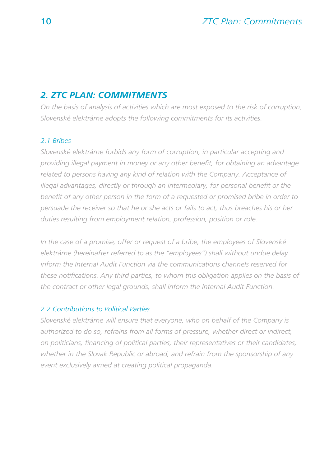#### *2. ZTC PLAN: COMMITMENTS*

*On the basis of analysis of activities which are most exposed to the risk of corruption, Slovenské elektrárne adopts the following commitments for its activities.*

#### *2.1 Bribes*

*Slovenské elektrárne forbids any form of corruption, in particular accepting and providing illegal payment in money or any other benefit, for obtaining an advantage* related to persons having any kind of relation with the Company. Acceptance of illegal advantages, directly or through an intermediary, for personal benefit or the benefit of any other person in the form of a requested or promised bribe in order to *persuade the receiver so that he or she acts or fails to act, thus breaches his or her duties resulting from employment relation, profession, position or role.* 

*In the case of a promise, offer or request of a bribe, the employees of Slovenské elektrárne (hereinafter referred to as the "employees") shall without undue delay inform the Internal Audit Function via the communications channels reserved for*  these notifications. Any third parties, to whom this obligation applies on the basis of *the contract or other legal grounds, shall inform the Internal Audit Function.*

#### *2.2 Contributions to Political Parties*

*Slovenské elektrárne will ensure that everyone, who on behalf of the Company is authorized to do so, refrains from all forms of pressure, whether direct or indirect, on politicians, fi nancing of political parties, their representatives or their candidates, whether in the Slovak Republic or abroad, and refrain from the sponsorship of any event exclusively aimed at creating political propaganda.*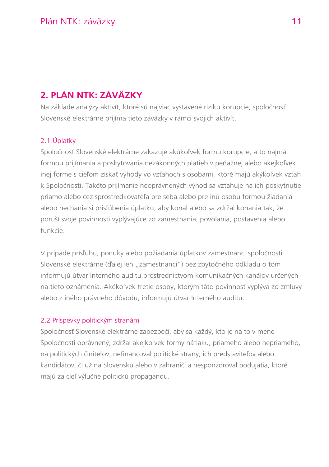### **2. PLÁN NTK: ZÁVÄZKY**

Na základe analýzy aktivít, ktoré sú najviac vystavené riziku korupcie, spoločnosť Slovenské elektrárne prijíma tieto záväzky v rámci svojich aktivít.

#### 2.1 Úplatky

Spoločnosť Slovenské elektrárne zakazuje akúkoľvek formu korupcie, a to najmä formou prijímania a poskytovania nezákonných platieb v peňažnej alebo akejkoľvek inej forme s cieľom získať výhody vo vzťahoch s osobami, ktoré majú akýkoľvek vzťah k Spoločnosti. Takéto prijímanie neoprávnených výhod sa vzťahuje na ich poskytnutie priamo alebo cez sprostredkovateľa pre seba alebo pre inú osobu formou žiadania alebo nechania si prisľúbenia úplatku, aby konal alebo sa zdržal konania tak, že poruší svoje povinnosti vyplývajúce zo zamestnania, povolania, postavenia alebo funkcie.

V prípade prísľubu, ponuky alebo požiadania úplatkov zamestnanci spoločnosti Slovenské elektrárne (ďalej len "zamestnanci") bez zbytočného odkladu o tom informujú útvar Interného auditu prostredníctvom komunikačných kanálov určených na tieto oznámenia. Akékoľvek tretie osoby, ktorým táto povinnosť vyplýva zo zmluvy alebo z iného právneho dôvodu, informujú útvar Interného auditu.

#### 2.2 Príspevky politickým stranám

Spoločnosť Slovenské elektrárne zabezpečí, aby sa každý, kto je na to v mene Spoločnosti oprávnený, zdržal akejkoľvek formy nátlaku, priameho alebo nepriameho, na politických činiteľov, nefinancoval politické strany, ich predstaviteľov alebo kandidátov, či už na Slovensku alebo v zahraničí a nesponzoroval podujatia, ktoré majú za cieľ výlučne politickú propagandu.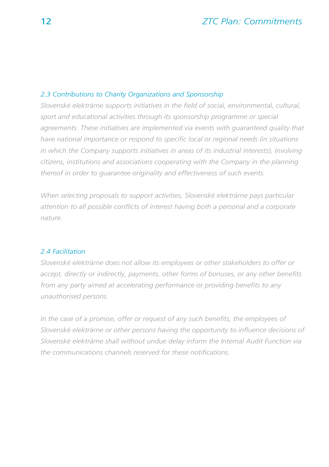#### *2.3 Contributions to Charity Organizations and Sponsorship*

*Slovenské elektrárne supports initiatives in the field of social, environmental, cultural, sport and educational activities through its sponsorship programme or special*  agreements. These initiatives are implemented via events with quaranteed quality that have national importance or respond to specific local or regional needs (in situations *in which the Company supports initiatives in areas of its industrial interests), involving citizens, institutions and associations cooperating with the Company in the planning thereof in order to guarantee originality and effectiveness of such events.*

*When selecting proposals to support activities, Slovenské elektrárne pays particular attention to all possible confl icts of interest having both a personal and a corporate nature.*

#### *2.4 Facilitation*

*Slovenské elektrárne does not allow its employees or other stakeholders to offer or accept, directly or indirectly, payments, other forms of bonuses, or any other benefits* from any party aimed at accelerating performance or providing benefits to any *unauthorised persons.*

*In the case of a promise, offer or request of any such benefits, the employees of* Slovenské elektrárne or other persons having the opportunity to influence decisions of *Slovenské elektrárne shall without undue delay inform the Internal Audit Function via*  the communications channels reserved for these notifications.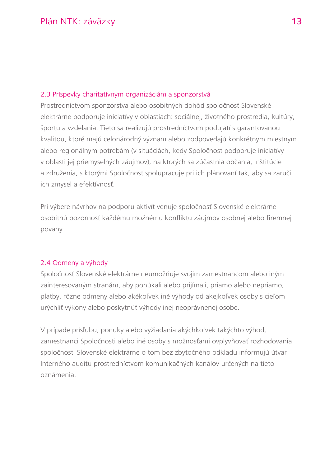#### 2.3 Príspevky charitatívnym organizáciám a sponzorstvá

Prostredníctvom sponzorstva alebo osobitných dohôd spoločnosť Slovenské elektrárne podporuje iniciatívy v oblastiach: sociálnej, životného prostredia, kultúry, športu a vzdelania. Tieto sa realizujú prostredníctvom podujatí s garantovanou kvalitou, ktoré majú celonárodný význam alebo zodpovedajú konkrétnym miestnym alebo regionálnym potrebám (v situáciách, kedy Spoločnosť podporuje iniciatívy v oblasti jej priemyselných záujmov), na ktorých sa zúčastnia občania, inštitúcie a združenia, s ktorými Spoločnosť spolupracuje pri ich plánovaní tak, aby sa zaručil ich zmysel a efektívnosť.

Pri výbere návrhov na podporu aktivít venuje spoločnosť Slovenské elektrárne osobitnú pozornosť každému možnému konfliktu záujmov osobnej alebo firemnej povahy.

#### 2.4 Odmeny a výhody

Spoločnosť Slovenské elektrárne neumožňuje svojim zamestnancom alebo iným zainteresovaným stranám, aby ponúkali alebo prijímali, priamo alebo nepriamo, platby, rôzne odmeny alebo akékoľvek iné výhody od akejkoľvek osoby s cieľom urýchliť výkony alebo poskytnúť výhody inej neoprávnenej osobe.

V prípade prísľubu, ponuky alebo vyžiadania akýchkoľvek takýchto výhod, zamestnanci Spoločnosti alebo iné osoby s možnosťami ovplyvňovať rozhodovania spoločnosti Slovenské elektrárne o tom bez zbytočného odkladu informujú útvar Interného auditu prostredníctvom komunikačných kanálov určených na tieto oznámenia.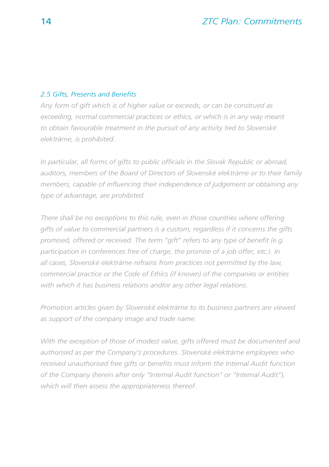#### *2.5 Gifts, Presents and Benefi ts*

*Any form of gift which is of higher value or exceeds, or can be construed as exceeding, normal commercial practices or ethics, or which is in any way meant to obtain favourable treatment in the pursuit of any activity tied to Slovenské elektrárne, is prohibited.* 

In particular, all forms of gifts to public officials in the Slovak Republic or abroad, *auditors, members of the Board of Directors of Slovenské elektrárne or to their family*  members, capable of influencing their independence of judgement or obtaining any *type of advantage, are prohibited.*

*There shall be no exceptions to this rule, even in those countries where offering gifts of value to commercial partners is a custom, regardless if it concerns the gifts*  promised, offered or received. The term "gift" refers to any type of benefit (e.g. *participation in conferences free of charge, the promise of a job offer, etc.). In all cases, Slovenské elektrárne refrains from practices not permitted by the law, commercial practice or the Code of Ethics (if known) of the companies or entities with which it has business relations and/or any other legal relations.*

*Promotion articles given by Slovenské elektrárne to its business partners are viewed as support of the company image and trade name.*

*With the exception of those of modest value, gifts offered must be documented and authorised as per the Company's procedures. Slovenské elektrárne employees who*  received unauthorised free gifts or benefits must inform the Internal Audit function *of the Company (herein after only "Internal Audit function" or "Internal Audit"), which will then assess the appropriateness thereof.*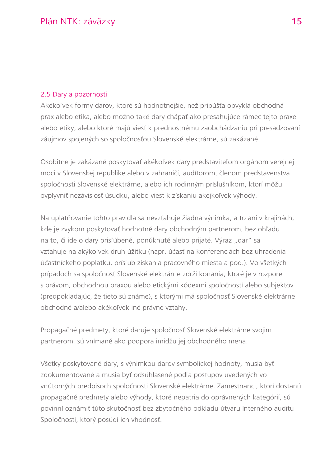#### 2.5 Dary a pozornosti

Akékoľvek formy darov, ktoré sú hodnotnejšie, než pripúšťa obvyklá obchodná prax alebo etika, alebo možno také dary chápať ako presahujúce rámec tejto praxe alebo etiky, alebo ktoré majú viesť k prednostnému zaobchádzaniu pri presadzovaní záujmov spojených so spoločnosťou Slovenské elektrárne, sú zakázané.

Osobitne je zakázané poskytovať akékoľvek dary predstaviteľom orgánom verejnej moci v Slovenskej republike alebo v zahraničí, audítorom, členom predstavenstva spoločnosti Slovenské elektrárne, alebo ich rodinným príslušníkom, ktorí môžu ovplyvniť nezávislosť úsudku, alebo viesť k získaniu akejkoľvek výhody.

Na uplatňovanie tohto pravidla sa nevzťahuje žiadna výnimka, a to ani v krajinách, kde je zvykom poskytovať hodnotné dary obchodným partnerom, bez ohľadu na to, či ide o dary prisľúbené, ponúknuté alebo prijaté. Výraz "dar" sa vzťahuje na akýkoľvek druh úžitku (napr. účasť na konferenciách bez uhradenia účastníckeho poplatku, prísľub získania pracovného miesta a pod.). Vo všetkých prípadoch sa spoločnosť Slovenské elektrárne zdrží konania, ktoré je v rozpore s právom, obchodnou praxou alebo etickými kódexmi spoločností alebo subjektov (predpokladajúc, že tieto sú známe), s ktorými má spoločnosť Slovenské elektrárne obchodné a/alebo akékoľvek iné právne vzťahy.

Propagačné predmety, ktoré daruje spoločnosť Slovenské elektrárne svojim partnerom, sú vnímané ako podpora imidžu jej obchodného mena.

Všetky poskytované dary, s výnimkou darov symbolickej hodnoty, musia byť zdokumentované a musia byť odsúhlasené podľa postupov uvedených vo vnútorných predpisoch spoločnosti Slovenské elektrárne. Zamestnanci, ktorí dostanú propagačné predmety alebo výhody, ktoré nepatria do oprávnených kategórií, sú povinní oznámiť túto skutočnosť bez zbytočného odkladu útvaru Interného auditu Spoločnosti, ktorý posúdi ich vhodnosť.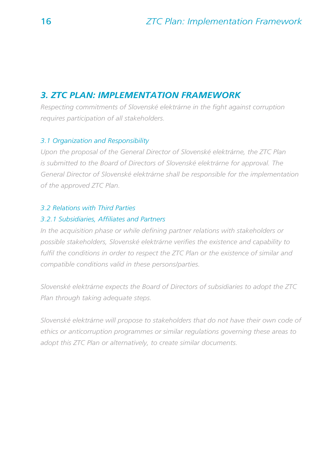#### *3. ZTC PLAN: IMPLEMENTATION FRAMEWORK*

*Respecting commitments of Slovenské elektrárne in the fight against corruption requires participation of all stakeholders.*

#### *3.1 Organization and Responsibility*

*Upon the proposal of the General Director of Slovenské elektrárne, the ZTC Plan is submitted to the Board of Directors of Slovenské elektrárne for approval. The General Director of Slovenské elektrárne shall be responsible for the implementation of the approved ZTC Plan.*

#### *3.2 Relations with Third Parties*

#### *3.2.1 Subsidiaries, Affi liates and Partners*

*In the acquisition phase or while defining partner relations with stakeholders or* possible stakeholders, Slovenské elektrárne verifies the existence and capability to fulfil the conditions in order to respect the ZTC Plan or the existence of similar and *compatible conditions valid in these persons/parties.* 

*Slovenské elektrárne expects the Board of Directors of subsidiaries to adopt the ZTC Plan through taking adequate steps.*

*Slovenské elektrárne will propose to stakeholders that do not have their own code of ethics or anticorruption programmes or similar regulations governing these areas to adopt this ZTC Plan or alternatively, to create similar documents.*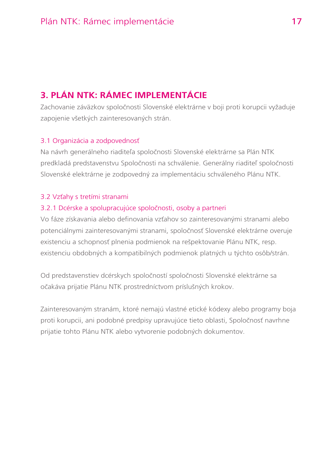### **3. PLÁN NTK: RÁMEC IMPLEMENTÁCIE**

Zachovanie záväzkov spoločnosti Slovenské elektrárne v boji proti korupcii vyžaduje zapojenie všetkých zainteresovaných strán.

#### 3.1 Organizácia a zodpovednosť

Na návrh generálneho riaditeľa spoločnosti Slovenské elektrárne sa Plán NTK predkladá predstavenstvu Spoločnosti na schválenie. Generálny riaditeľ spoločnosti Slovenské elektrárne je zodpovedný za implementáciu schváleného Plánu NTK.

#### 3.2 Vzťahy s tretími stranami

#### 3.2.1 Dcérske a spolupracujúce spoločnosti, osoby a partneri

Vo fáze získavania alebo definovania vzťahov so zainteresovanými stranami alebo potenciálnymi zainteresovanými stranami, spoločnosť Slovenské elektrárne overuje existenciu a schopnosť plnenia podmienok na rešpektovanie Plánu NTK, resp. existenciu obdobných a kompatibilných podmienok platných u týchto osôb/strán.

Od predstavenstiev dcérskych spoločností spoločnosti Slovenské elektrárne sa očakáva prijatie Plánu NTK prostredníctvom príslušných krokov.

Zainteresovaným stranám, ktoré nemajú vlastné etické kódexy alebo programy boja proti korupcii, ani podobné predpisy upravujúce tieto oblasti, Spoločnosť navrhne prijatie tohto Plánu NTK alebo vytvorenie podobných dokumentov.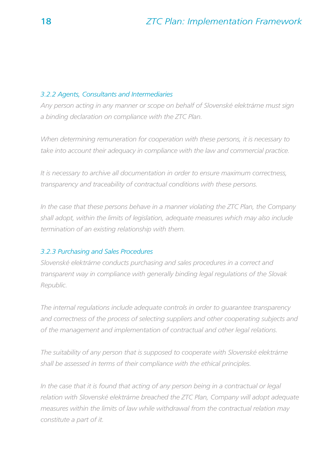#### *3.2.2 Agents, Consultants and Intermediaries*

*Any person acting in any manner or scope on behalf of Slovenské elektrárne must sign a binding declaration on compliance with the ZTC Plan.*

*When determining remuneration for cooperation with these persons, it is necessary to*  take into account their adequacy in compliance with the law and commercial practice.

*It is necessary to archive all documentation in order to ensure maximum correctness, transparency and traceability of contractual conditions with these persons.*

*In the case that these persons behave in a manner violating the ZTC Plan, the Company shall adopt, within the limits of legislation, adequate measures which may also include termination of an existing relationship with them.*

#### *3.2.3 Purchasing and Sales Procedures*

*Slovenské elektrárne conducts purchasing and sales procedures in a correct and transparent way in compliance with generally binding legal regulations of the Slovak Republic.*

*The internal regulations include adequate controls in order to guarantee transparency and correctness of the process of selecting suppliers and other cooperating subjects and of the management and implementation of contractual and other legal relations.*

*The suitability of any person that is supposed to cooperate with Slovenské elektrárne shall be assessed in terms of their compliance with the ethical principles.* 

*In the case that it is found that acting of any person being in a contractual or legal*  relation with Slovenské elektrárne breached the ZTC Plan, Company will adopt adequate *measures within the limits of law while withdrawal from the contractual relation may constitute a part of it.*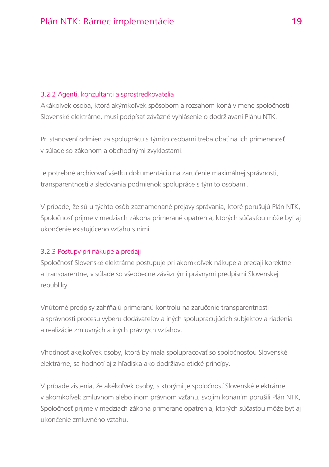#### 3.2.2 Agenti, konzultanti a sprostredkovatelia

Akákoľvek osoba, ktorá akýmkoľvek spôsobom a rozsahom koná v mene spoločnosti Slovenské elektrárne, musí podpísať záväzné vyhlásenie o dodržiavaní Plánu NTK.

Pri stanovení odmien za spoluprácu s týmito osobami treba dbať na ich primeranosť v súlade so zákonom a obchodnými zvyklosťami.

Je potrebné archivovať všetku dokumentáciu na zaručenie maximálnej správnosti, transparentnosti a sledovania podmienok spolupráce s týmito osobami.

V prípade, že sú u týchto osôb zaznamenané prejavy správania, ktoré porušujú Plán NTK, Spoločnosť prijme v medziach zákona primerané opatrenia, ktorých súčasťou môže byť aj ukončenie existujúceho vzťahu s nimi.

#### 3.2.3 Postupy pri nákupe a predaji

Spoločnosť Slovenské elektrárne postupuje pri akomkoľvek nákupe a predaji korektne a transparentne, v súlade so všeobecne záväznými právnymi predpismi Slovenskej republiky.

Vnútorné predpisy zahŕňajú primeranú kontrolu na zaručenie transparentnosti a správnosti procesu výberu dodávateľov a iných spolupracujúcich subjektov a riadenia a realizácie zmluvných a iných právnych vzťahov.

Vhodnosť akejkoľvek osoby, ktorá by mala spolupracovať so spoločnosťou Slovenské elektrárne, sa hodnotí aj z hľadiska ako dodržiava etické princípy.

V prípade zistenia, že akékoľvek osoby, s ktorými je spoločnosť Slovenské elektrárne v akomkoľvek zmluvnom alebo inom právnom vzťahu, svojim konaním porušili Plán NTK, Spoločnosť prijme v medziach zákona primerané opatrenia, ktorých súčasťou môže byť aj ukončenie zmluvného vzťahu.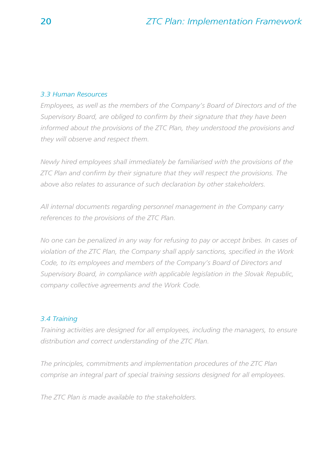#### *3.3 Human Resources*

*Employees, as well as the members of the Company's Board of Directors and of the*  Supervisory Board, are obliged to confirm by their signature that they have been *informed about the provisions of the ZTC Plan, they understood the provisions and they will observe and respect them.*

*Newly hired employees shall immediately be familiarised with the provisions of the ZTC Plan and confirm by their signature that they will respect the provisions. The above also relates to assurance of such declaration by other stakeholders.*

*All internal documents regarding personnel management in the Company carry references to the provisions of the ZTC Plan.*

*No one can be penalized in any way for refusing to pay or accept bribes. In cases of*  violation of the ZTC Plan, the Company shall apply sanctions, specified in the Work *Code, to its employees and members of the Company's Board of Directors and Supervisory Board, in compliance with applicable legislation in the Slovak Republic, company collective agreements and the Work Code.*

#### *3.4 Training*

*Training activities are designed for all employees, including the managers, to ensure distribution and correct understanding of the ZTC Plan.*

*The principles, commitments and implementation procedures of the ZTC Plan comprise an integral part of special training sessions designed for all employees.*

*The ZTC Plan is made available to the stakeholders.*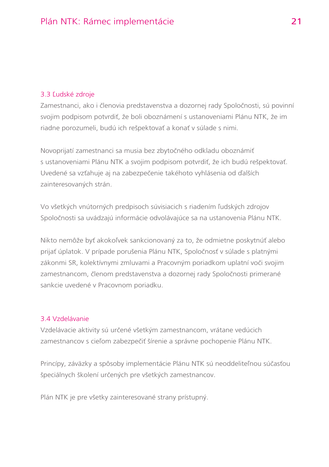#### 3.3 Ľudské zdroje

Zamestnanci, ako i členovia predstavenstva a dozornej rady Spoločnosti, sú povinní svojim podpisom potvrdiť, že boli oboznámení s ustanoveniami Plánu NTK, že im riadne porozumeli, budú ich rešpektovať a konať v súlade s nimi.

Novoprijatí zamestnanci sa musia bez zbytočného odkladu oboznámiť s ustanoveniami Plánu NTK a svojim podpisom potvrdiť, že ich budú rešpektovať. Uvedené sa vzťahuje aj na zabezpečenie takéhoto vyhlásenia od ďalších zainteresovaných strán.

Vo všetkých vnútorných predpisoch súvisiacich s riadením ľudských zdrojov Spoločnosti sa uvádzajú informácie odvolávajúce sa na ustanovenia Plánu NTK.

Nikto nemôže byť akokoľvek sankcionovaný za to, že odmietne poskytnúť alebo prijať úplatok. V prípade porušenia Plánu NTK, Spoločnosť v súlade s platnými zákonmi SR, kolektívnymi zmluvami a Pracovným poriadkom uplatní voči svojim zamestnancom, členom predstavenstva a dozornej rady Spoločnosti primerané sankcie uvedené v Pracovnom poriadku.

#### 3.4 Vzdelávanie

Vzdelávacie aktivity sú určené všetkým zamestnancom, vrátane vedúcich zamestnancov s cieľom zabezpečiť šírenie a správne pochopenie Plánu NTK.

Princípy, záväzky a spôsoby implementácie Plánu NTK sú neoddeliteľnou súčasťou špeciálnych školení určených pre všetkých zamestnancov.

Plán NTK je pre všetky zainteresované strany prístupný.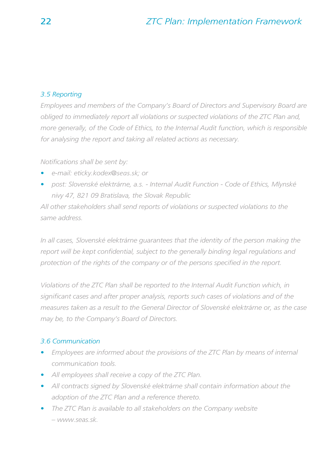#### *3.5 Reporting*

*Employees and members of the Company's Board of Directors and Supervisory Board are obliged to immediately report all violations or suspected violations of the ZTC Plan and, more generally, of the Code of Ethics, to the Internal Audit function, which is responsible for analysing the report and taking all related actions as necessary.*

*Notifi cations shall be sent by:*

- *e-mail: eticky.kodex@seas.sk; or*
- *post: Slovenské elektrárne, a.s. Internal Audit Function Code of Ethics, Mlynské nivy 47, 821 09 Bratislava, the Slovak Republic*

*All other stakeholders shall send reports of violations or suspected violations to the same address.*

*In all cases, Slovenské elektrárne guarantees that the identity of the person making the*  report will be kept confidential, subject to the generally binding legal regulations and protection of the rights of the company or of the persons specified in the report.

*Violations of the ZTC Plan shall be reported to the Internal Audit Function which, in signifi cant cases and after proper analysis, reports such cases of violations and of the measures taken as a result to the General Director of Slovenské elektrárne or, as the case may be, to the Company's Board of Directors.*

#### *3.6 Communication*

- *Employees are informed about the provisions of the ZTC Plan by means of internal communication tools.*
- *All employees shall receive a copy of the ZTC Plan.*
- *All contracts signed by Slovenské elektrárne shall contain information about the adoption of the ZTC Plan and a reference thereto.*
- *The ZTC Plan is available to all stakeholders on the Company website – www.seas.sk.*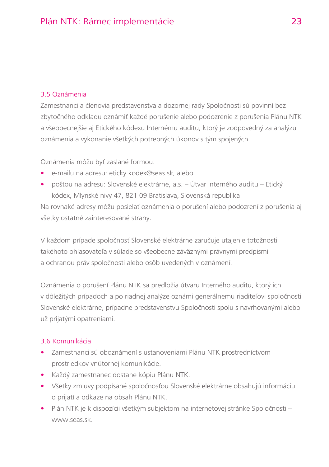#### 3.5 Oznámenia

Zamestnanci a členovia predstavenstva a dozornej rady Spoločnosti sú povinní bez zbytočného odkladu oznámiť každé porušenie alebo podozrenie z porušenia Plánu NTK a všeobecnejšie aj Etického kódexu Internému auditu, ktorý je zodpovedný za analýzu oznámenia a vykonanie všetkých potrebných úkonov s tým spojených.

Oznámenia môžu byť zaslané formou:

- e-mailu na adresu: eticky.kodex@seas.sk, alebo
- poštou na adresu: Slovenské elektrárne, a.s. Útvar Interného auditu Etický kódex, Mlynské nivy 47, 821 09 Bratislava, Slovenská republika

Na rovnaké adresy môžu posielať oznámenia o porušení alebo podozrení z porušenia aj všetky ostatné zainteresované strany.

V každom prípade spoločnosť Slovenské elektrárne zaručuje utajenie totožnosti takéhoto ohlasovateľa v súlade so všeobecne záväznými právnymi predpismi a ochranou práv spoločnosti alebo osôb uvedených v oznámení.

Oznámenia o porušení Plánu NTK sa predložia útvaru Interného auditu, ktorý ich v dôležitých prípadoch a po riadnej analýze oznámi generálnemu riaditeľovi spoločnosti Slovenské elektrárne, prípadne predstavenstvu Spoločnosti spolu s navrhovanými alebo už prijatými opatreniami.

#### 3.6 Komunikácia

- Zamestnanci sú oboznámení s ustanoveniami Plánu NTK prostredníctvom prostriedkov vnútornej komunikácie.
- Každý zamestnanec dostane kópiu Plánu NTK.
- Všetky zmluvy podpísané spoločnosťou Slovenské elektrárne obsahujú informáciu o prijatí a odkaze na obsah Plánu NTK.
- Plán NTK je k dispozícii všetkým subjektom na internetovej stránke Spoločnosti www.seas.sk.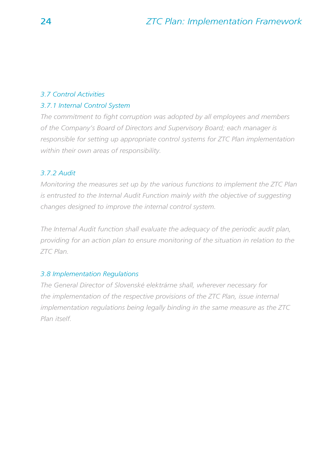#### *3.7 Control Activities*

#### *3.7.1 Internal Control System*

The commitment to fight corruption was adopted by all employees and members *of the Company's Board of Directors and Supervisory Board; each manager is responsible for setting up appropriate control systems for ZTC Plan implementation within their own areas of responsibility.*

#### *3.7.2 Audit*

*Monitoring the measures set up by the various functions to implement the ZTC Plan is entrusted to the Internal Audit Function mainly with the objective of suggesting changes designed to improve the internal control system.* 

*The Internal Audit function shall evaluate the adequacy of the periodic audit plan, providing for an action plan to ensure monitoring of the situation in relation to the ZTC Plan.*

#### *3.8 Implementation Regulations*

*The General Director of Slovenské elektrárne shall, wherever necessary for the implementation of the respective provisions of the ZTC Plan, issue internal implementation regulations being legally binding in the same measure as the ZTC Plan itself.*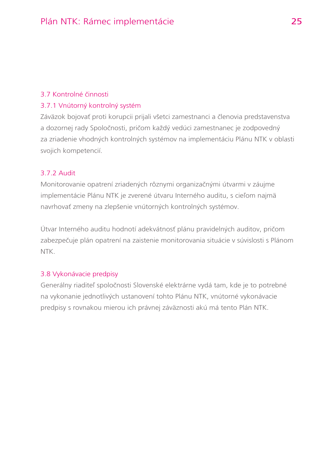#### 3.7 Kontrolné činnosti

#### 3.7.1 Vnútorný kontrolný systém

Záväzok bojovať proti korupcii prijali všetci zamestnanci a členovia predstavenstva a dozornej rady Spoločnosti, pričom každý vedúci zamestnanec je zodpovedný za zriadenie vhodných kontrolných systémov na implementáciu Plánu NTK v oblasti svojich kompetencií.

#### 3.7.2 Audit

Monitorovanie opatrení zriadených rôznymi organizačnými útvarmi v záujme implementácie Plánu NTK je zverené útvaru Interného auditu, s cieľom najmä navrhovať zmeny na zlepšenie vnútorných kontrolných systémov.

Útvar Interného auditu hodnotí adekvátnosť plánu pravidelných auditov, pričom zabezpečuje plán opatrení na zaistenie monitorovania situácie v súvislosti s Plánom NTK.

#### 3.8 Vykonávacie predpisy

Generálny riaditeľ spoločnosti Slovenské elektrárne vydá tam, kde je to potrebné na vykonanie jednotlivých ustanovení tohto Plánu NTK, vnútorné vykonávacie predpisy s rovnakou mierou ich právnej záväznosti akú má tento Plán NTK.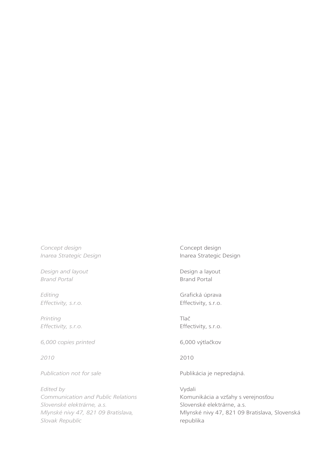*Concept design Inarea Strategic Design*

*Design and layout Brand Portal*

*Editing Effectivity, s.r.o.*

*Printing Effectivity, s.r.o.*

*6,000 copies printed*

*2010*

*Publication not for sale*

*Edited by Communication and Public Relations Slovenské elektrárne, a.s. Mlynské nivy 47, 821 09 Bratislava, Slovak Republic*

Concept design Inarea Strategic Design

Design a layout Brand Portal

Grafická úprava Effectivity, s.r.o.

Tlač Effectivity, s.r.o.

6,000 výtlačkov

2010

Publikácia je nepredajná.

Vydali Komunikácia a vzťahy s verejnosťou Slovenské elektrárne, a.s. Mlynské nivy 47, 821 09 Bratislava, Slovenská republika